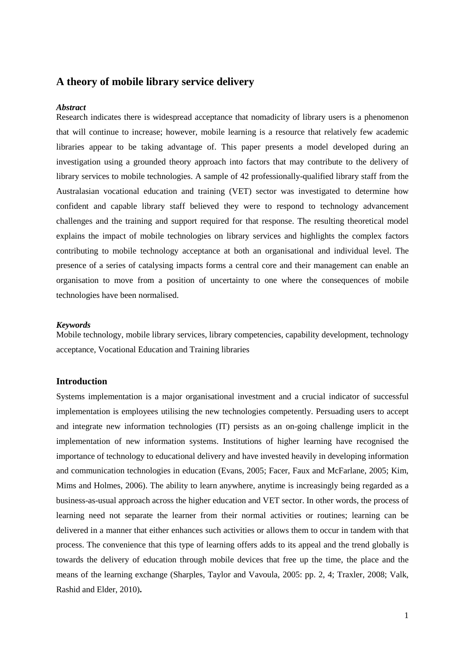# **A theory of mobile library service delivery**

#### *Abstract*

Research indicates there is widespread acceptance that nomadicity of library users is a phenomenon that will continue to increase; however, mobile learning is a resource that relatively few academic libraries appear to be taking advantage of. This paper presents a model developed during an investigation using a grounded theory approach into factors that may contribute to the delivery of library services to mobile technologies. A sample of 42 professionally-qualified library staff from the Australasian vocational education and training (VET) sector was investigated to determine how confident and capable library staff believed they were to respond to technology advancement challenges and the training and support required for that response. The resulting theoretical model explains the impact of mobile technologies on library services and highlights the complex factors contributing to mobile technology acceptance at both an organisational and individual level. The presence of a series of catalysing impacts forms a central core and their management can enable an organisation to move from a position of uncertainty to one where the consequences of mobile technologies have been normalised.

#### *Keywords*

Mobile technology, mobile library services, library competencies, capability development, technology acceptance, Vocational Education and Training libraries

### **Introduction**

Systems implementation is a major organisational investment and a crucial indicator of successful implementation is employees utilising the new technologies competently. Persuading users to accept and integrate new information technologies (IT) persists as an on-going challenge implicit in the implementation of new information systems. Institutions of higher learning have recognised the importance of technology to educational delivery and have invested heavily in developing information and communication technologies in education (Evans, 2005; Facer, Faux and McFarlane, 2005; Kim, Mims and Holmes, 2006). The ability to learn anywhere, anytime is increasingly being regarded as a business-as-usual approach across the higher education and VET sector. In other words, the process of learning need not separate the learner from their normal activities or routines; learning can be delivered in a manner that either enhances such activities or allows them to occur in tandem with that process. The convenience that this type of learning offers adds to its appeal and the trend globally is towards the delivery of education through mobile devices that free up the time, the place and the means of the learning exchange (Sharples, Taylor and Vavoula, 2005: pp. 2, 4; Traxler, 2008; Valk, Rashid and Elder, 2010)**.**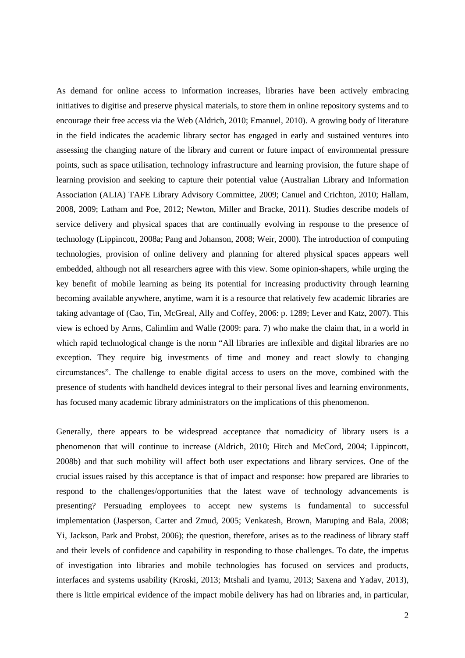As demand for online access to information increases, libraries have been actively embracing initiatives to digitise and preserve physical materials, to store them in online repository systems and to encourage their free access via the Web (Aldrich, 2010; Emanuel, 2010). A growing body of literature in the field indicates the academic library sector has engaged in early and sustained ventures into assessing the changing nature of the library and current or future impact of environmental pressure points, such as space utilisation, technology infrastructure and learning provision, the future shape of learning provision and seeking to capture their potential value (Australian Library and Information Association (ALIA) TAFE Library Advisory Committee, 2009; Canuel and Crichton, 2010; Hallam, 2008, 2009; Latham and Poe, 2012; Newton, Miller and Bracke, 2011). Studies describe models of service delivery and physical spaces that are continually evolving in response to the presence of technology (Lippincott, 2008a; Pang and Johanson, 2008; Weir, 2000). The introduction of computing technologies, provision of online delivery and planning for altered physical spaces appears well embedded, although not all researchers agree with this view. Some opinion-shapers, while urging the key benefit of mobile learning as being its potential for increasing productivity through learning becoming available anywhere, anytime, warn it is a resource that relatively few academic libraries are taking advantage of (Cao, Tin, McGreal, Ally and Coffey, 2006: p. 1289; Lever and Katz, 2007). This view is echoed by Arms, Calimlim and Walle (2009: para. 7) who make the claim that, in a world in which rapid technological change is the norm "All libraries are inflexible and digital libraries are no exception. They require big investments of time and money and react slowly to changing circumstances". The challenge to enable digital access to users on the move, combined with the presence of students with handheld devices integral to their personal lives and learning environments, has focused many academic library administrators on the implications of this phenomenon.

Generally, there appears to be widespread acceptance that nomadicity of library users is a phenomenon that will continue to increase (Aldrich, 2010; Hitch and McCord, 2004; Lippincott, 2008b) and that such mobility will affect both user expectations and library services. One of the crucial issues raised by this acceptance is that of impact and response: how prepared are libraries to respond to the challenges/opportunities that the latest wave of technology advancements is presenting? Persuading employees to accept new systems is fundamental to successful implementation (Jasperson, Carter and Zmud, 2005; Venkatesh, Brown, Maruping and Bala, 2008; Yi, Jackson, Park and Probst, 2006); the question, therefore, arises as to the readiness of library staff and their levels of confidence and capability in responding to those challenges. To date, the impetus of investigation into libraries and mobile technologies has focused on services and products, interfaces and systems usability (Kroski, 2013; Mtshali and Iyamu, 2013; Saxena and Yadav, 2013), there is little empirical evidence of the impact mobile delivery has had on libraries and, in particular,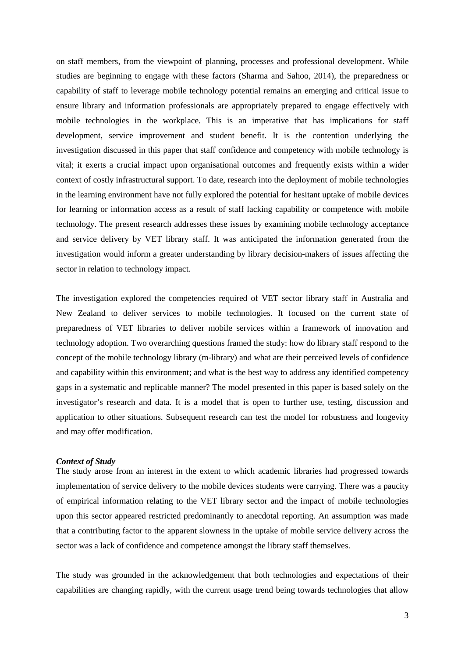on staff members, from the viewpoint of planning, processes and professional development. While studies are beginning to engage with these factors (Sharma and Sahoo, 2014), the preparedness or capability of staff to leverage mobile technology potential remains an emerging and critical issue to ensure library and information professionals are appropriately prepared to engage effectively with mobile technologies in the workplace. This is an imperative that has implications for staff development, service improvement and student benefit. It is the contention underlying the investigation discussed in this paper that staff confidence and competency with mobile technology is vital; it exerts a crucial impact upon organisational outcomes and frequently exists within a wider context of costly infrastructural support. To date, research into the deployment of mobile technologies in the learning environment have not fully explored the potential for hesitant uptake of mobile devices for learning or information access as a result of staff lacking capability or competence with mobile technology. The present research addresses these issues by examining mobile technology acceptance and service delivery by VET library staff. It was anticipated the information generated from the investigation would inform a greater understanding by library decision-makers of issues affecting the sector in relation to technology impact.

The investigation explored the competencies required of VET sector library staff in Australia and New Zealand to deliver services to mobile technologies. It focused on the current state of preparedness of VET libraries to deliver mobile services within a framework of innovation and technology adoption. Two overarching questions framed the study: how do library staff respond to the concept of the mobile technology library (m-library) and what are their perceived levels of confidence and capability within this environment; and what is the best way to address any identified competency gaps in a systematic and replicable manner? The model presented in this paper is based solely on the investigator's research and data. It is a model that is open to further use, testing, discussion and application to other situations. Subsequent research can test the model for robustness and longevity and may offer modification.

### *Context of Study*

The study arose from an interest in the extent to which academic libraries had progressed towards implementation of service delivery to the mobile devices students were carrying. There was a paucity of empirical information relating to the VET library sector and the impact of mobile technologies upon this sector appeared restricted predominantly to anecdotal reporting. An assumption was made that a contributing factor to the apparent slowness in the uptake of mobile service delivery across the sector was a lack of confidence and competence amongst the library staff themselves.

The study was grounded in the acknowledgement that both technologies and expectations of their capabilities are changing rapidly, with the current usage trend being towards technologies that allow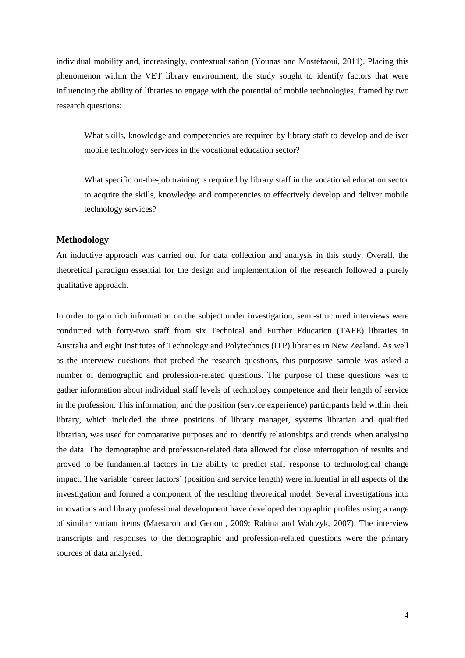individual mobility and, increasingly, contextualisation (Younas and Mostéfaoui, 2011). Placing this phenomenon within the VET library environment, the study sought to identify factors that were influencing the ability of libraries to engage with the potential of mobile technologies, framed by two research questions:

What skills, knowledge and competencies are required by library staff to develop and deliver mobile technology services in the vocational education sector?

What specific on-the-job training is required by library staff in the vocational education sector to acquire the skills, knowledge and competencies to effectively develop and deliver mobile technology services?

### **Methodology**

An inductive approach was carried out for data collection and analysis in this study. Overall, the theoretical paradigm essential for the design and implementation of the research followed a purely qualitative approach.

In order to gain rich information on the subject under investigation, semi-structured interviews were conducted with forty-two staff from six Technical and Further Education (TAFE) libraries in Australia and eight Institutes of Technology and Polytechnics (ITP) libraries in New Zealand. As well as the interview questions that probed the research questions, this purposive sample was asked a number of demographic and profession-related questions. The purpose of these questions was to gather information about individual staff levels of technology competence and their length of service in the profession. This information, and the position (service experience) participants held within their library, which included the three positions of library manager, systems librarian and qualified librarian, was used for comparative purposes and to identify relationships and trends when analysing the data. The demographic and profession-related data allowed for close interrogation of results and proved to be fundamental factors in the ability to predict staff response to technological change impact. The variable 'career factors' (position and service length) were influential in all aspects of the investigation and formed a component of the resulting theoretical model. Several investigations into innovations and library professional development have developed demographic profiles using a range of similar variant items (Maesaroh and Genoni, 2009; Rabina and Walczyk, 2007). The interview transcripts and responses to the demographic and profession-related questions were the primary sources of data analysed.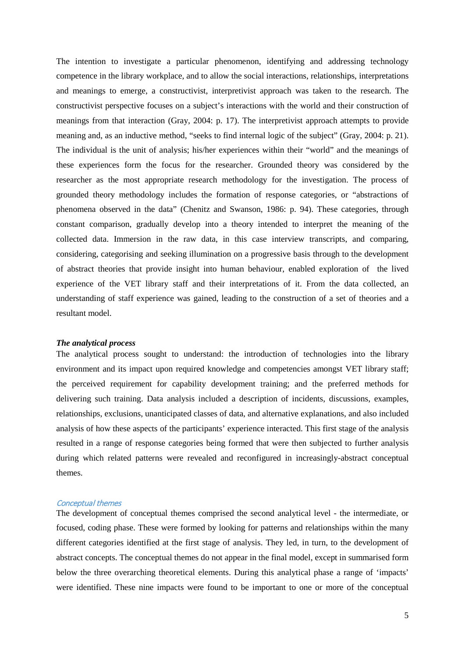The intention to investigate a particular phenomenon, identifying and addressing technology competence in the library workplace, and to allow the social interactions, relationships, interpretations and meanings to emerge, a constructivist, interpretivist approach was taken to the research. The constructivist perspective focuses on a subject's interactions with the world and their construction of meanings from that interaction (Gray, 2004: p. 17). The interpretivist approach attempts to provide meaning and, as an inductive method, "seeks to find internal logic of the subject" (Gray, 2004: p. 21). The individual is the unit of analysis; his/her experiences within their "world" and the meanings of these experiences form the focus for the researcher. Grounded theory was considered by the researcher as the most appropriate research methodology for the investigation. The process of grounded theory methodology includes the formation of response categories, or "abstractions of phenomena observed in the data" (Chenitz and Swanson, 1986: p. 94). These categories, through constant comparison, gradually develop into a theory intended to interpret the meaning of the collected data. Immersion in the raw data, in this case interview transcripts, and comparing, considering, categorising and seeking illumination on a progressive basis through to the development of abstract theories that provide insight into human behaviour, enabled exploration of the lived experience of the VET library staff and their interpretations of it. From the data collected, an understanding of staff experience was gained, leading to the construction of a set of theories and a resultant model.

### *The analytical process*

The analytical process sought to understand: the introduction of technologies into the library environment and its impact upon required knowledge and competencies amongst VET library staff; the perceived requirement for capability development training; and the preferred methods for delivering such training. Data analysis included a description of incidents, discussions, examples, relationships, exclusions, unanticipated classes of data, and alternative explanations, and also included analysis of how these aspects of the participants' experience interacted. This first stage of the analysis resulted in a range of response categories being formed that were then subjected to further analysis during which related patterns were revealed and reconfigured in increasingly-abstract conceptual themes.

#### Conceptual themes

The development of conceptual themes comprised the second analytical level - the intermediate, or focused, coding phase. These were formed by looking for patterns and relationships within the many different categories identified at the first stage of analysis. They led, in turn, to the development of abstract concepts. The conceptual themes do not appear in the final model, except in summarised form below the three overarching theoretical elements. During this analytical phase a range of 'impacts' were identified. These nine impacts were found to be important to one or more of the conceptual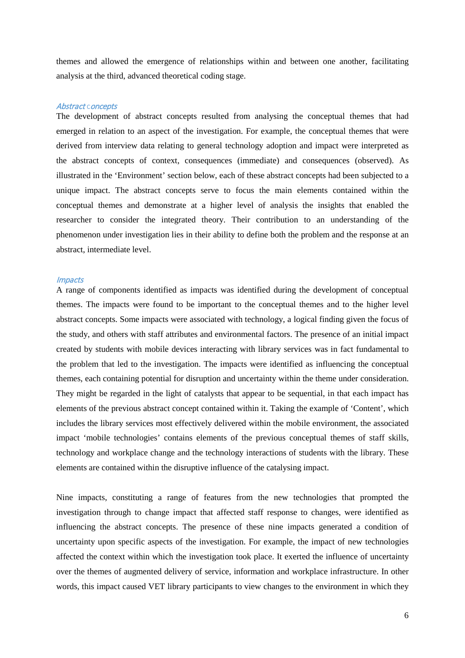themes and allowed the emergence of relationships within and between one another, facilitating analysis at the third, advanced theoretical coding stage.

#### Abstract concepts

The development of abstract concepts resulted from analysing the conceptual themes that had emerged in relation to an aspect of the investigation. For example, the conceptual themes that were derived from interview data relating to general technology adoption and impact were interpreted as the abstract concepts of context, consequences (immediate) and consequences (observed). As illustrated in the 'Environment' section below, each of these abstract concepts had been subjected to a unique impact. The abstract concepts serve to focus the main elements contained within the conceptual themes and demonstrate at a higher level of analysis the insights that enabled the researcher to consider the integrated theory. Their contribution to an understanding of the phenomenon under investigation lies in their ability to define both the problem and the response at an abstract, intermediate level.

#### Impacts

A range of components identified as impacts was identified during the development of conceptual themes. The impacts were found to be important to the conceptual themes and to the higher level abstract concepts. Some impacts were associated with technology, a logical finding given the focus of the study, and others with staff attributes and environmental factors. The presence of an initial impact created by students with mobile devices interacting with library services was in fact fundamental to the problem that led to the investigation. The impacts were identified as influencing the conceptual themes, each containing potential for disruption and uncertainty within the theme under consideration. They might be regarded in the light of catalysts that appear to be sequential, in that each impact has elements of the previous abstract concept contained within it. Taking the example of 'Content', which includes the library services most effectively delivered within the mobile environment, the associated impact 'mobile technologies' contains elements of the previous conceptual themes of staff skills, technology and workplace change and the technology interactions of students with the library. These elements are contained within the disruptive influence of the catalysing impact.

Nine impacts, constituting a range of features from the new technologies that prompted the investigation through to change impact that affected staff response to changes, were identified as influencing the abstract concepts. The presence of these nine impacts generated a condition of uncertainty upon specific aspects of the investigation. For example, the impact of new technologies affected the context within which the investigation took place. It exerted the influence of uncertainty over the themes of augmented delivery of service, information and workplace infrastructure. In other words, this impact caused VET library participants to view changes to the environment in which they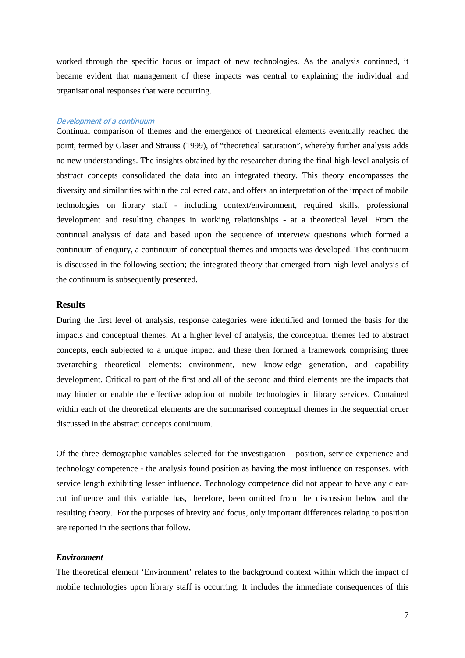worked through the specific focus or impact of new technologies. As the analysis continued, it became evident that management of these impacts was central to explaining the individual and organisational responses that were occurring.

#### Development of a continuum

Continual comparison of themes and the emergence of theoretical elements eventually reached the point, termed by Glaser and Strauss (1999), of "theoretical saturation", whereby further analysis adds no new understandings. The insights obtained by the researcher during the final high-level analysis of abstract concepts consolidated the data into an integrated theory. This theory encompasses the diversity and similarities within the collected data, and offers an interpretation of the impact of mobile technologies on library staff - including context/environment, required skills, professional development and resulting changes in working relationships - at a theoretical level. From the continual analysis of data and based upon the sequence of interview questions which formed a continuum of enquiry, a continuum of conceptual themes and impacts was developed. This continuum is discussed in the following section; the integrated theory that emerged from high level analysis of the continuum is subsequently presented.

### **Results**

During the first level of analysis, response categories were identified and formed the basis for the impacts and conceptual themes. At a higher level of analysis, the conceptual themes led to abstract concepts, each subjected to a unique impact and these then formed a framework comprising three overarching theoretical elements: environment, new knowledge generation, and capability development. Critical to part of the first and all of the second and third elements are the impacts that may hinder or enable the effective adoption of mobile technologies in library services. Contained within each of the theoretical elements are the summarised conceptual themes in the sequential order discussed in the abstract concepts continuum.

Of the three demographic variables selected for the investigation – position, service experience and technology competence - the analysis found position as having the most influence on responses, with service length exhibiting lesser influence. Technology competence did not appear to have any clearcut influence and this variable has, therefore, been omitted from the discussion below and the resulting theory. For the purposes of brevity and focus, only important differences relating to position are reported in the sections that follow.

### *Environment*

The theoretical element 'Environment' relates to the background context within which the impact of mobile technologies upon library staff is occurring. It includes the immediate consequences of this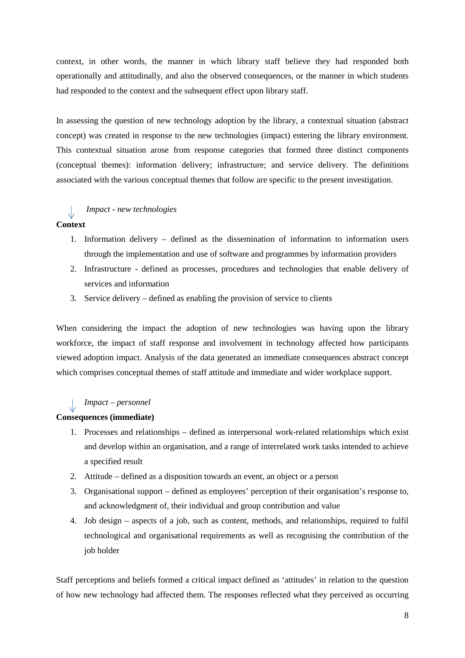context, in other words, the manner in which library staff believe they had responded both operationally and attitudinally, and also the observed consequences, or the manner in which students had responded to the context and the subsequent effect upon library staff.

In assessing the question of new technology adoption by the library, a contextual situation (abstract concept) was created in response to the new technologies (impact) entering the library environment. This contextual situation arose from response categories that formed three distinct components (conceptual themes): information delivery; infrastructure; and service delivery. The definitions associated with the various conceptual themes that follow are specific to the present investigation.

## *Impact - new technologies*

## **Context**

- 1. Information delivery defined as the dissemination of information to information users through the implementation and use of software and programmes by information providers
- 2. Infrastructure defined as processes, procedures and technologies that enable delivery of services and information
- 3. Service delivery defined as enabling the provision of service to clients

When considering the impact the adoption of new technologies was having upon the library workforce, the impact of staff response and involvement in technology affected how participants viewed adoption impact. Analysis of the data generated an immediate consequences abstract concept which comprises conceptual themes of staff attitude and immediate and wider workplace support.

## *Impact – personnel*

## **Consequences (immediate)**

- 1. Processes and relationships defined as interpersonal work-related relationships which exist and develop within an organisation, and a range of interrelated work tasks intended to achieve a specified result
- 2. Attitude defined as a disposition towards an event, an object or a person
- 3. Organisational support defined as employees' perception of their organisation's response to, and acknowledgment of, their individual and group contribution and value
- 4. Job design aspects of a job, such as content, methods, and relationships, required to fulfil technological and organisational requirements as well as recognising the contribution of the job holder

Staff perceptions and beliefs formed a critical impact defined as 'attitudes' in relation to the question of how new technology had affected them. The responses reflected what they perceived as occurring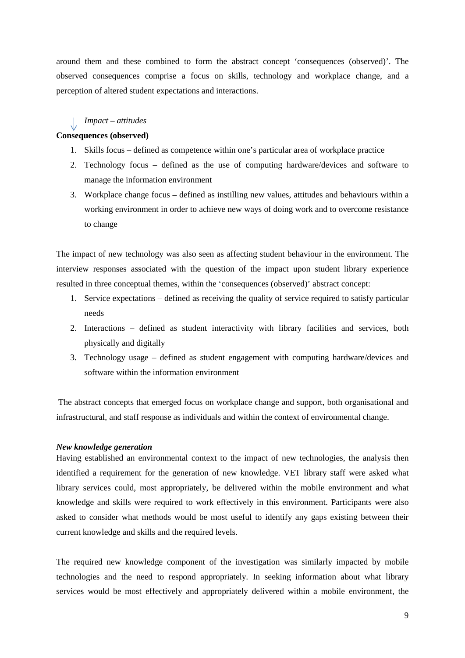around them and these combined to form the abstract concept 'consequences (observed)'. The observed consequences comprise a focus on skills, technology and workplace change, and a perception of altered student expectations and interactions.

# *Impact – attitudes*

## **Consequences (observed)**

- 1. Skills focus defined as competence within one's particular area of workplace practice
- 2. Technology focus defined as the use of computing hardware/devices and software to manage the information environment
- 3. Workplace change focus defined as instilling new values, attitudes and behaviours within a working environment in order to achieve new ways of doing work and to overcome resistance to change

The impact of new technology was also seen as affecting student behaviour in the environment. The interview responses associated with the question of the impact upon student library experience resulted in three conceptual themes, within the 'consequences (observed)' abstract concept:

- 1. Service expectations defined as receiving the quality of service required to satisfy particular needs
- 2. Interactions defined as student interactivity with library facilities and services, both physically and digitally
- 3. Technology usage defined as student engagement with computing hardware/devices and software within the information environment

The abstract concepts that emerged focus on workplace change and support, both organisational and infrastructural, and staff response as individuals and within the context of environmental change.

## *New knowledge generation*

Having established an environmental context to the impact of new technologies, the analysis then identified a requirement for the generation of new knowledge. VET library staff were asked what library services could, most appropriately, be delivered within the mobile environment and what knowledge and skills were required to work effectively in this environment. Participants were also asked to consider what methods would be most useful to identify any gaps existing between their current knowledge and skills and the required levels.

The required new knowledge component of the investigation was similarly impacted by mobile technologies and the need to respond appropriately. In seeking information about what library services would be most effectively and appropriately delivered within a mobile environment, the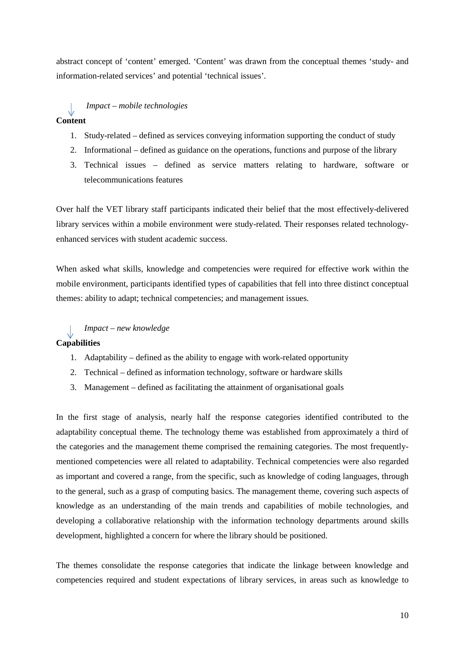abstract concept of 'content' emerged. 'Content' was drawn from the conceptual themes 'study- and information-related services' and potential 'technical issues'.

## *Impact – mobile technologies*

## **Content**

- 1. Study-related defined as services conveying information supporting the conduct of study
- 2. Informational defined as guidance on the operations, functions and purpose of the library
- 3. Technical issues defined as service matters relating to hardware, software or telecommunications features

Over half the VET library staff participants indicated their belief that the most effectively-delivered library services within a mobile environment were study-related. Their responses related technologyenhanced services with student academic success.

When asked what skills, knowledge and competencies were required for effective work within the mobile environment, participants identified types of capabilities that fell into three distinct conceptual themes: ability to adapt; technical competencies; and management issues.

## *Impact – new knowledge*

## **Capabilities**

- 1. Adaptability defined as the ability to engage with work-related opportunity
- 2. Technical defined as information technology, software or hardware skills
- 3. Management defined as facilitating the attainment of organisational goals

In the first stage of analysis, nearly half the response categories identified contributed to the adaptability conceptual theme. The technology theme was established from approximately a third of the categories and the management theme comprised the remaining categories. The most frequentlymentioned competencies were all related to adaptability. Technical competencies were also regarded as important and covered a range, from the specific, such as knowledge of coding languages, through to the general, such as a grasp of computing basics. The management theme, covering such aspects of knowledge as an understanding of the main trends and capabilities of mobile technologies, and developing a collaborative relationship with the information technology departments around skills development, highlighted a concern for where the library should be positioned.

The themes consolidate the response categories that indicate the linkage between knowledge and competencies required and student expectations of library services, in areas such as knowledge to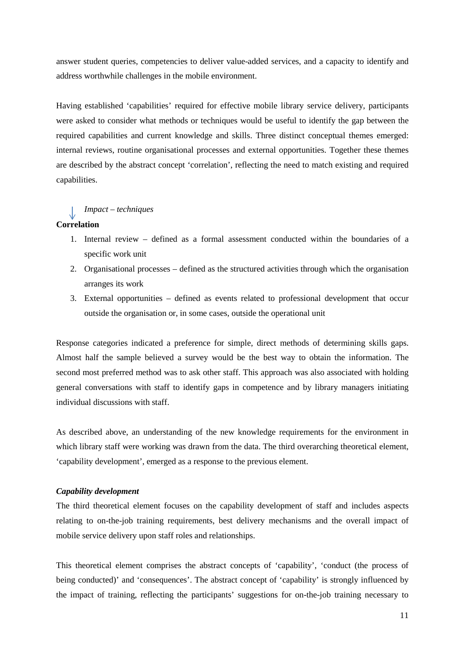answer student queries, competencies to deliver value-added services, and a capacity to identify and address worthwhile challenges in the mobile environment.

Having established 'capabilities' required for effective mobile library service delivery, participants were asked to consider what methods or techniques would be useful to identify the gap between the required capabilities and current knowledge and skills. Three distinct conceptual themes emerged: internal reviews, routine organisational processes and external opportunities. Together these themes are described by the abstract concept 'correlation', reflecting the need to match existing and required capabilities.

# *Impact – techniques*

### **Correlation**

- 1. Internal review defined as a formal assessment conducted within the boundaries of a specific work unit
- 2. Organisational processes defined as the structured activities through which the organisation arranges its work
- 3. External opportunities defined as events related to professional development that occur outside the organisation or, in some cases, outside the operational unit

Response categories indicated a preference for simple, direct methods of determining skills gaps. Almost half the sample believed a survey would be the best way to obtain the information. The second most preferred method was to ask other staff. This approach was also associated with holding general conversations with staff to identify gaps in competence and by library managers initiating individual discussions with staff.

As described above, an understanding of the new knowledge requirements for the environment in which library staff were working was drawn from the data. The third overarching theoretical element, 'capability development', emerged as a response to the previous element.

### *Capability development*

The third theoretical element focuses on the capability development of staff and includes aspects relating to on-the-job training requirements, best delivery mechanisms and the overall impact of mobile service delivery upon staff roles and relationships.

This theoretical element comprises the abstract concepts of 'capability', 'conduct (the process of being conducted)' and 'consequences'. The abstract concept of 'capability' is strongly influenced by the impact of training, reflecting the participants' suggestions for on-the-job training necessary to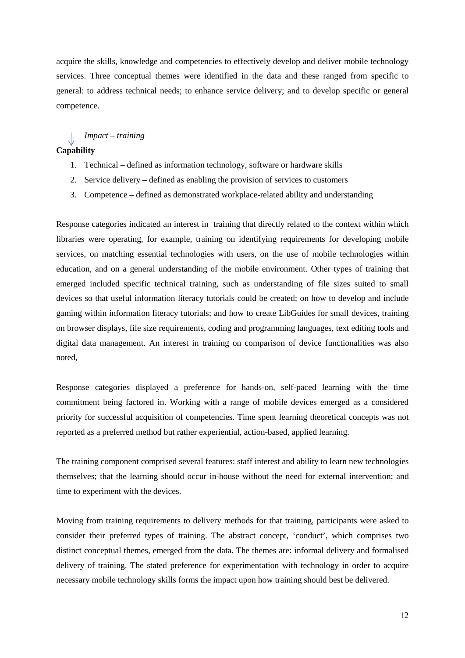acquire the skills, knowledge and competencies to effectively develop and deliver mobile technology services. Three conceptual themes were identified in the data and these ranged from specific to general: to address technical needs; to enhance service delivery; and to develop specific or general competence.

### *Impact – training*

### **Capability**

- 1. Technical defined as information technology, software or hardware skills
- 2. Service delivery defined as enabling the provision of services to customers
- 3. Competence defined as demonstrated workplace-related ability and understanding

Response categories indicated an interest in training that directly related to the context within which libraries were operating, for example, training on identifying requirements for developing mobile services, on matching essential technologies with users, on the use of mobile technologies within education, and on a general understanding of the mobile environment. Other types of training that emerged included specific technical training, such as understanding of file sizes suited to small devices so that useful information literacy tutorials could be created; on how to develop and include gaming within information literacy tutorials; and how to create LibGuides for small devices, training on browser displays, file size requirements, coding and programming languages, text editing tools and digital data management. An interest in training on comparison of device functionalities was also noted,

Response categories displayed a preference for hands-on, self-paced learning with the time commitment being factored in. Working with a range of mobile devices emerged as a considered priority for successful acquisition of competencies. Time spent learning theoretical concepts was not reported as a preferred method but rather experiential, action-based, applied learning.

The training component comprised several features: staff interest and ability to learn new technologies themselves; that the learning should occur in-house without the need for external intervention; and time to experiment with the devices.

Moving from training requirements to delivery methods for that training, participants were asked to consider their preferred types of training. The abstract concept, 'conduct', which comprises two distinct conceptual themes, emerged from the data. The themes are: informal delivery and formalised delivery of training. The stated preference for experimentation with technology in order to acquire necessary mobile technology skills forms the impact upon how training should best be delivered.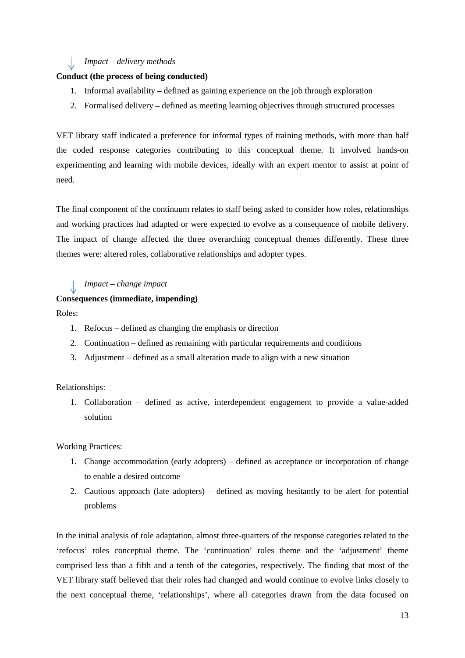# *Impact – delivery methods*

## **Conduct (the process of being conducted)**

- 1. Informal availability defined as gaining experience on the job through exploration
- 2. Formalised delivery defined as meeting learning objectives through structured processes

VET library staff indicated a preference for informal types of training methods, with more than half the coded response categories contributing to this conceptual theme. It involved hands-on experimenting and learning with mobile devices, ideally with an expert mentor to assist at point of need.

The final component of the continuum relates to staff being asked to consider how roles, relationships and working practices had adapted or were expected to evolve as a consequence of mobile delivery. The impact of change affected the three overarching conceptual themes differently. These three themes were: altered roles, collaborative relationships and adopter types.

## *Impact – change impact*

# **Consequences (immediate, impending)**

Roles:

- 1. Refocus defined as changing the emphasis or direction
- 2. Continuation defined as remaining with particular requirements and conditions
- 3. Adjustment defined as a small alteration made to align with a new situation

Relationships:

1. Collaboration – defined as active, interdependent engagement to provide a value-added solution

Working Practices:

- 1. Change accommodation (early adopters) defined as acceptance or incorporation of change to enable a desired outcome
- 2. Cautious approach (late adopters) defined as moving hesitantly to be alert for potential problems

In the initial analysis of role adaptation, almost three-quarters of the response categories related to the 'refocus' roles conceptual theme. The 'continuation' roles theme and the 'adjustment' theme comprised less than a fifth and a tenth of the categories, respectively. The finding that most of the VET library staff believed that their roles had changed and would continue to evolve links closely to the next conceptual theme, 'relationships', where all categories drawn from the data focused on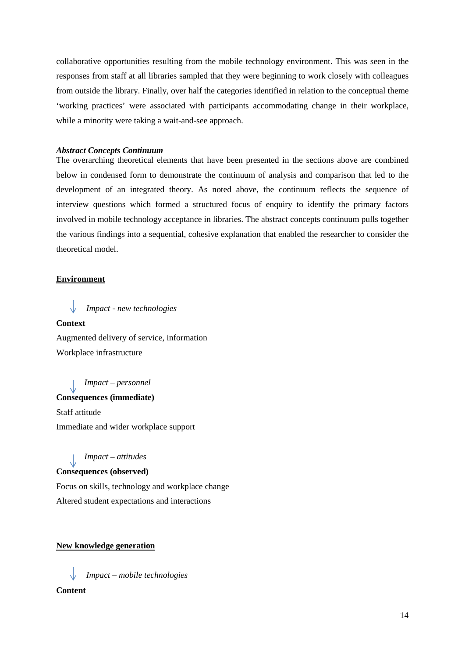collaborative opportunities resulting from the mobile technology environment. This was seen in the responses from staff at all libraries sampled that they were beginning to work closely with colleagues from outside the library. Finally, over half the categories identified in relation to the conceptual theme 'working practices' were associated with participants accommodating change in their workplace, while a minority were taking a wait-and-see approach.

### *Abstract Concepts Continuum*

The overarching theoretical elements that have been presented in the sections above are combined below in condensed form to demonstrate the continuum of analysis and comparison that led to the development of an integrated theory. As noted above, the continuum reflects the sequence of interview questions which formed a structured focus of enquiry to identify the primary factors involved in mobile technology acceptance in libraries. The abstract concepts continuum pulls together the various findings into a sequential, cohesive explanation that enabled the researcher to consider the theoretical model.

### **Environment**

*Impact - new technologies*

**Context**  Augmented delivery of service, information Workplace infrastructure

*Impact – personnel* **Consequences (immediate)** Staff attitude Immediate and wider workplace support

#### *Impact – attitudes*

#### **Consequences (observed)**

Focus on skills, technology and workplace change Altered student expectations and interactions

#### **New knowledge generation**

*Impact – mobile technologies*

**Content**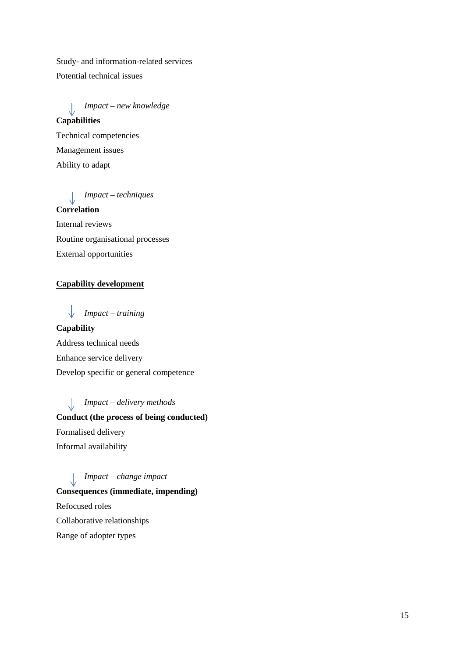Study- and information-related services Potential technical issues

*Impact – new knowledge* J **Capabilities** Technical competencies Management issues Ability to adapt

*Impact – techniques*

**Correlation** Internal reviews Routine organisational processes External opportunities

## **Capability development**

*Impact – training* **Capability** Address technical needs Enhance service delivery Develop specific or general competence

*Impact – delivery methods* **Conduct (the process of being conducted)** Formalised delivery Informal availability

# *Impact – change impact*

J

**Consequences (immediate, impending)** Refocused roles Collaborative relationships Range of adopter types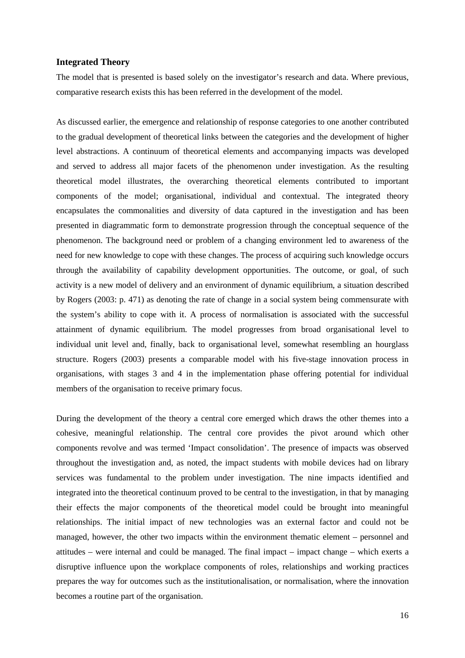### **Integrated Theory**

The model that is presented is based solely on the investigator's research and data. Where previous, comparative research exists this has been referred in the development of the model.

As discussed earlier, the emergence and relationship of response categories to one another contributed to the gradual development of theoretical links between the categories and the development of higher level abstractions. A continuum of theoretical elements and accompanying impacts was developed and served to address all major facets of the phenomenon under investigation. As the resulting theoretical model illustrates, the overarching theoretical elements contributed to important components of the model; organisational, individual and contextual. The integrated theory encapsulates the commonalities and diversity of data captured in the investigation and has been presented in diagrammatic form to demonstrate progression through the conceptual sequence of the phenomenon. The background need or problem of a changing environment led to awareness of the need for new knowledge to cope with these changes. The process of acquiring such knowledge occurs through the availability of capability development opportunities. The outcome, or goal, of such activity is a new model of delivery and an environment of dynamic equilibrium, a situation described by Rogers (2003: p. 471) as denoting the rate of change in a social system being commensurate with the system's ability to cope with it. A process of normalisation is associated with the successful attainment of dynamic equilibrium. The model progresses from broad organisational level to individual unit level and, finally, back to organisational level, somewhat resembling an hourglass structure. Rogers (2003) presents a comparable model with his five-stage innovation process in organisations, with stages 3 and 4 in the implementation phase offering potential for individual members of the organisation to receive primary focus.

During the development of the theory a central core emerged which draws the other themes into a cohesive, meaningful relationship. The central core provides the pivot around which other components revolve and was termed 'Impact consolidation'. The presence of impacts was observed throughout the investigation and, as noted, the impact students with mobile devices had on library services was fundamental to the problem under investigation. The nine impacts identified and integrated into the theoretical continuum proved to be central to the investigation, in that by managing their effects the major components of the theoretical model could be brought into meaningful relationships. The initial impact of new technologies was an external factor and could not be managed, however, the other two impacts within the environment thematic element – personnel and attitudes – were internal and could be managed. The final impact – impact change – which exerts a disruptive influence upon the workplace components of roles, relationships and working practices prepares the way for outcomes such as the institutionalisation, or normalisation, where the innovation becomes a routine part of the organisation.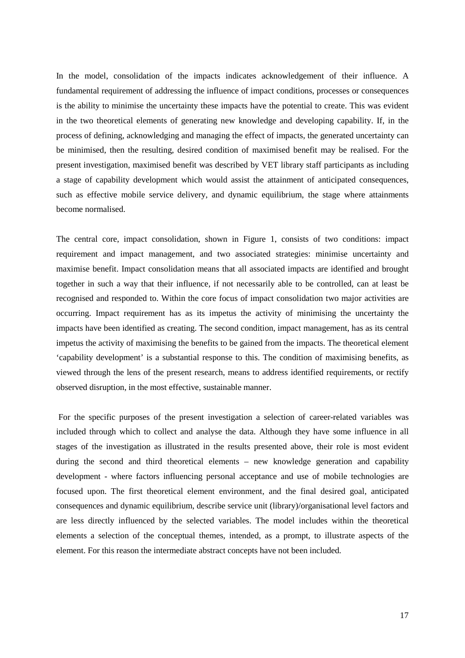In the model, consolidation of the impacts indicates acknowledgement of their influence. A fundamental requirement of addressing the influence of impact conditions, processes or consequences is the ability to minimise the uncertainty these impacts have the potential to create. This was evident in the two theoretical elements of generating new knowledge and developing capability. If, in the process of defining, acknowledging and managing the effect of impacts, the generated uncertainty can be minimised, then the resulting, desired condition of maximised benefit may be realised. For the present investigation, maximised benefit was described by VET library staff participants as including a stage of capability development which would assist the attainment of anticipated consequences, such as effective mobile service delivery, and dynamic equilibrium, the stage where attainments become normalised.

The central core, impact consolidation, shown in Figure 1, consists of two conditions: impact requirement and impact management, and two associated strategies: minimise uncertainty and maximise benefit. Impact consolidation means that all associated impacts are identified and brought together in such a way that their influence, if not necessarily able to be controlled, can at least be recognised and responded to. Within the core focus of impact consolidation two major activities are occurring. Impact requirement has as its impetus the activity of minimising the uncertainty the impacts have been identified as creating. The second condition, impact management, has as its central impetus the activity of maximising the benefits to be gained from the impacts. The theoretical element 'capability development' is a substantial response to this. The condition of maximising benefits, as viewed through the lens of the present research, means to address identified requirements, or rectify observed disruption, in the most effective, sustainable manner.

For the specific purposes of the present investigation a selection of career-related variables was included through which to collect and analyse the data. Although they have some influence in all stages of the investigation as illustrated in the results presented above, their role is most evident during the second and third theoretical elements – new knowledge generation and capability development - where factors influencing personal acceptance and use of mobile technologies are focused upon. The first theoretical element environment, and the final desired goal, anticipated consequences and dynamic equilibrium, describe service unit (library)/organisational level factors and are less directly influenced by the selected variables. The model includes within the theoretical elements a selection of the conceptual themes, intended, as a prompt, to illustrate aspects of the element. For this reason the intermediate abstract concepts have not been included.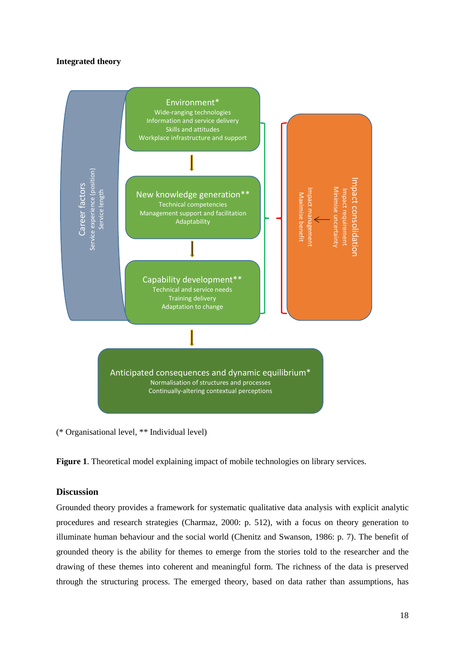## **Integrated theory**



(\* Organisational level, \*\* Individual level)



# **Discussion**

Grounded theory provides a framework for systematic qualitative data analysis with explicit analytic procedures and research strategies (Charmaz, 2000: p. 512), with a focus on theory generation to illuminate human behaviour and the social world (Chenitz and Swanson, 1986: p. 7). The benefit of grounded theory is the ability for themes to emerge from the stories told to the researcher and the drawing of these themes into coherent and meaningful form. The richness of the data is preserved through the structuring process. The emerged theory, based on data rather than assumptions, has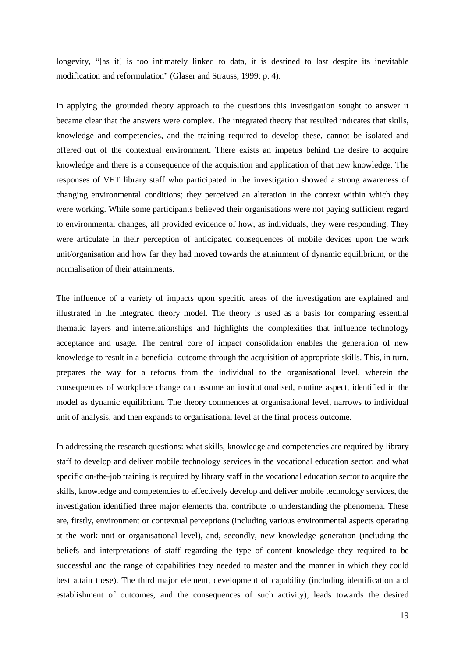longevity, "[as it] is too intimately linked to data, it is destined to last despite its inevitable modification and reformulation" (Glaser and Strauss, 1999: p. 4).

In applying the grounded theory approach to the questions this investigation sought to answer it became clear that the answers were complex. The integrated theory that resulted indicates that skills, knowledge and competencies, and the training required to develop these, cannot be isolated and offered out of the contextual environment. There exists an impetus behind the desire to acquire knowledge and there is a consequence of the acquisition and application of that new knowledge. The responses of VET library staff who participated in the investigation showed a strong awareness of changing environmental conditions; they perceived an alteration in the context within which they were working. While some participants believed their organisations were not paying sufficient regard to environmental changes, all provided evidence of how, as individuals, they were responding. They were articulate in their perception of anticipated consequences of mobile devices upon the work unit/organisation and how far they had moved towards the attainment of dynamic equilibrium, or the normalisation of their attainments.

The influence of a variety of impacts upon specific areas of the investigation are explained and illustrated in the integrated theory model. The theory is used as a basis for comparing essential thematic layers and interrelationships and highlights the complexities that influence technology acceptance and usage. The central core of impact consolidation enables the generation of new knowledge to result in a beneficial outcome through the acquisition of appropriate skills. This, in turn, prepares the way for a refocus from the individual to the organisational level, wherein the consequences of workplace change can assume an institutionalised, routine aspect, identified in the model as dynamic equilibrium. The theory commences at organisational level, narrows to individual unit of analysis, and then expands to organisational level at the final process outcome.

In addressing the research questions: what skills, knowledge and competencies are required by library staff to develop and deliver mobile technology services in the vocational education sector; and what specific on-the-job training is required by library staff in the vocational education sector to acquire the skills, knowledge and competencies to effectively develop and deliver mobile technology services, the investigation identified three major elements that contribute to understanding the phenomena. These are, firstly, environment or contextual perceptions (including various environmental aspects operating at the work unit or organisational level), and, secondly, new knowledge generation (including the beliefs and interpretations of staff regarding the type of content knowledge they required to be successful and the range of capabilities they needed to master and the manner in which they could best attain these). The third major element, development of capability (including identification and establishment of outcomes, and the consequences of such activity), leads towards the desired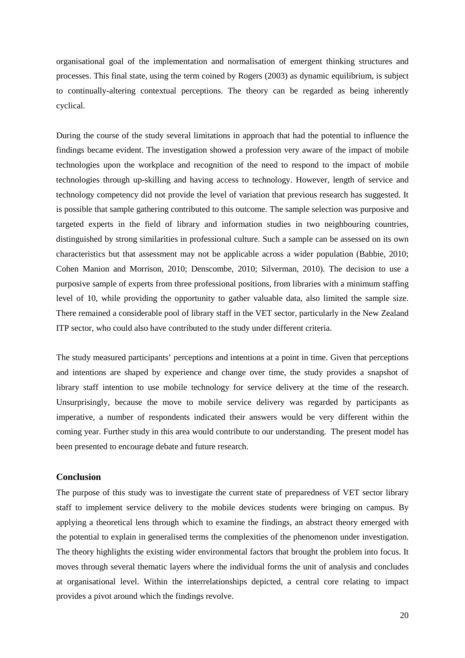organisational goal of the implementation and normalisation of emergent thinking structures and processes. This final state, using the term coined by Rogers (2003) as dynamic equilibrium, is subject to continually-altering contextual perceptions. The theory can be regarded as being inherently cyclical.

During the course of the study several limitations in approach that had the potential to influence the findings became evident. The investigation showed a profession very aware of the impact of mobile technologies upon the workplace and recognition of the need to respond to the impact of mobile technologies through up-skilling and having access to technology. However, length of service and technology competency did not provide the level of variation that previous research has suggested. It is possible that sample gathering contributed to this outcome. The sample selection was purposive and targeted experts in the field of library and information studies in two neighbouring countries, distinguished by strong similarities in professional culture. Such a sample can be assessed on its own characteristics but that assessment may not be applicable across a wider population (Babbie, 2010; Cohen Manion and Morrison, 2010; Denscombe, 2010; Silverman, 2010). The decision to use a purposive sample of experts from three professional positions, from libraries with a minimum staffing level of 10, while providing the opportunity to gather valuable data, also limited the sample size. There remained a considerable pool of library staff in the VET sector, particularly in the New Zealand ITP sector, who could also have contributed to the study under different criteria.

The study measured participants' perceptions and intentions at a point in time. Given that perceptions and intentions are shaped by experience and change over time, the study provides a snapshot of library staff intention to use mobile technology for service delivery at the time of the research. Unsurprisingly, because the move to mobile service delivery was regarded by participants as imperative, a number of respondents indicated their answers would be very different within the coming year. Further study in this area would contribute to our understanding. The present model has been presented to encourage debate and future research.

## **Conclusion**

The purpose of this study was to investigate the current state of preparedness of VET sector library staff to implement service delivery to the mobile devices students were bringing on campus. By applying a theoretical lens through which to examine the findings, an abstract theory emerged with the potential to explain in generalised terms the complexities of the phenomenon under investigation. The theory highlights the existing wider environmental factors that brought the problem into focus. It moves through several thematic layers where the individual forms the unit of analysis and concludes at organisational level. Within the interrelationships depicted, a central core relating to impact provides a pivot around which the findings revolve.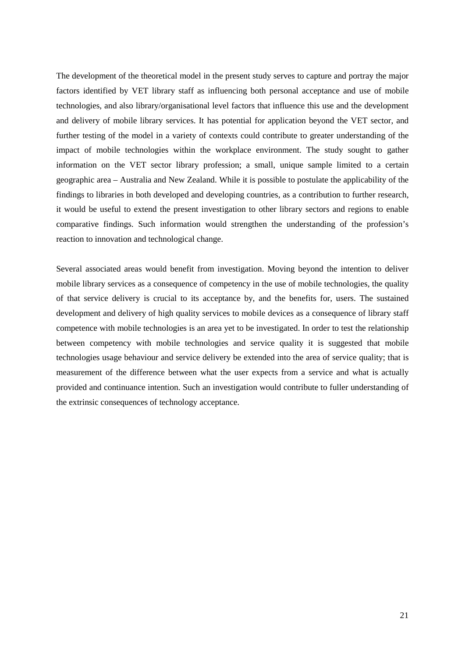The development of the theoretical model in the present study serves to capture and portray the major factors identified by VET library staff as influencing both personal acceptance and use of mobile technologies, and also library/organisational level factors that influence this use and the development and delivery of mobile library services. It has potential for application beyond the VET sector, and further testing of the model in a variety of contexts could contribute to greater understanding of the impact of mobile technologies within the workplace environment. The study sought to gather information on the VET sector library profession; a small, unique sample limited to a certain geographic area – Australia and New Zealand. While it is possible to postulate the applicability of the findings to libraries in both developed and developing countries, as a contribution to further research, it would be useful to extend the present investigation to other library sectors and regions to enable comparative findings. Such information would strengthen the understanding of the profession's reaction to innovation and technological change.

Several associated areas would benefit from investigation. Moving beyond the intention to deliver mobile library services as a consequence of competency in the use of mobile technologies, the quality of that service delivery is crucial to its acceptance by, and the benefits for, users. The sustained development and delivery of high quality services to mobile devices as a consequence of library staff competence with mobile technologies is an area yet to be investigated. In order to test the relationship between competency with mobile technologies and service quality it is suggested that mobile technologies usage behaviour and service delivery be extended into the area of service quality; that is measurement of the difference between what the user expects from a service and what is actually provided and continuance intention. Such an investigation would contribute to fuller understanding of the extrinsic consequences of technology acceptance.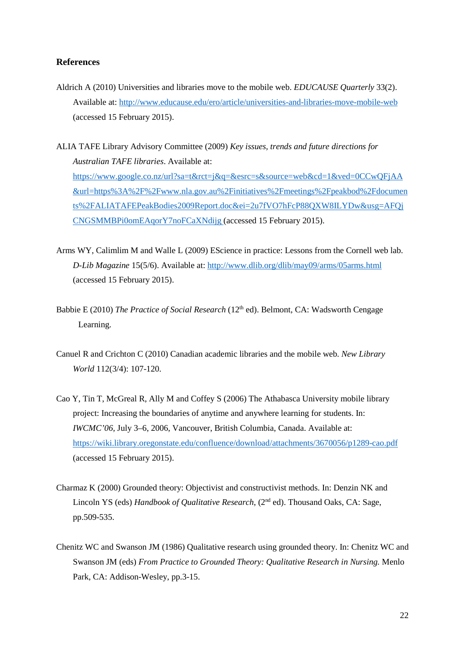## **References**

- Aldrich A (2010) Universities and libraries move to the mobile web. *EDUCAUSE Quarterly* 33(2). Available at: <http://www.educause.edu/ero/article/universities-and-libraries-move-mobile-web> (accessed 15 February 2015).
- ALIA TAFE Library Advisory Committee (2009) *Key issues, trends and future directions for Australian TAFE libraries*. Available at: [https://www.google.co.nz/url?sa=t&rct=j&q=&esrc=s&source=web&cd=1&ved=0CCwQFjAA](https://www.google.co.nz/url?sa=t&rct=j&q=&esrc=s&source=web&cd=1&ved=0CCwQFjAA&url=https%3A%2F%2Fwww.nla.gov.au%2Finitiatives%2Fmeetings%2Fpeakbod%2Fdocuments%2FALIATAFEPeakBodies2009Report.doc&ei=2u7fVO7hFcP88QXW8ILYDw&usg=AFQjCNGSMMBPi0omEAqorY7noFCaXNdijg) [&url=https%3A%2F%2Fwww.nla.gov.au%2Finitiatives%2Fmeetings%2Fpeakbod%2Fdocumen](https://www.google.co.nz/url?sa=t&rct=j&q=&esrc=s&source=web&cd=1&ved=0CCwQFjAA&url=https%3A%2F%2Fwww.nla.gov.au%2Finitiatives%2Fmeetings%2Fpeakbod%2Fdocuments%2FALIATAFEPeakBodies2009Report.doc&ei=2u7fVO7hFcP88QXW8ILYDw&usg=AFQjCNGSMMBPi0omEAqorY7noFCaXNdijg) [ts%2FALIATAFEPeakBodies2009Report.doc&ei=2u7fVO7hFcP88QXW8ILYDw&usg=AFQj](https://www.google.co.nz/url?sa=t&rct=j&q=&esrc=s&source=web&cd=1&ved=0CCwQFjAA&url=https%3A%2F%2Fwww.nla.gov.au%2Finitiatives%2Fmeetings%2Fpeakbod%2Fdocuments%2FALIATAFEPeakBodies2009Report.doc&ei=2u7fVO7hFcP88QXW8ILYDw&usg=AFQjCNGSMMBPi0omEAqorY7noFCaXNdijg) [CNGSMMBPi0omEAqorY7noFCaXNdijg](https://www.google.co.nz/url?sa=t&rct=j&q=&esrc=s&source=web&cd=1&ved=0CCwQFjAA&url=https%3A%2F%2Fwww.nla.gov.au%2Finitiatives%2Fmeetings%2Fpeakbod%2Fdocuments%2FALIATAFEPeakBodies2009Report.doc&ei=2u7fVO7hFcP88QXW8ILYDw&usg=AFQjCNGSMMBPi0omEAqorY7noFCaXNdijg) (accessed 15 February 2015).
- Arms WY, Calimlim M and Walle L (2009) EScience in practice: Lessons from the Cornell web lab. *D-Lib Magazine* 15(5/6). Available at: <http://www.dlib.org/dlib/may09/arms/05arms.html> (accessed 15 February 2015).
- Babbie E (2010) *The Practice of Social Research* (12<sup>th</sup> ed). Belmont, CA: Wadsworth Cengage Learning.
- Canuel R and Crichton C (2010) Canadian academic libraries and the mobile web. *New Library World* 112(3/4): 107-120.
- Cao Y, Tin T, McGreal R, Ally M and Coffey S (2006) The Athabasca University mobile library project: Increasing the boundaries of anytime and anywhere learning for students. In: *IWCMC'06,* July 3–6, 2006, Vancouver, British Columbia, Canada. Available at: <https://wiki.library.oregonstate.edu/confluence/download/attachments/3670056/p1289-cao.pdf> (accessed 15 February 2015).
- Charmaz K (2000) Grounded theory: Objectivist and constructivist methods. In: Denzin NK and Lincoln YS (eds) *Handbook of Qualitative Research*, (2nd ed). Thousand Oaks, CA: Sage, pp.509-535.
- Chenitz WC and Swanson JM (1986) Qualitative research using grounded theory. In: Chenitz WC and Swanson JM (eds) *From Practice to Grounded Theory: Qualitative Research in Nursing.* Menlo Park, CA: Addison-Wesley, pp.3-15.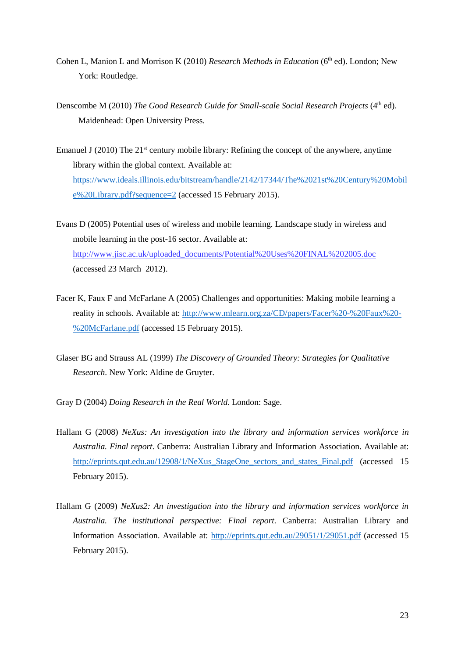- Cohen L, Manion L and Morrison K (2010) *Research Methods in Education* (6<sup>th</sup> ed). London; New York: Routledge.
- Denscombe M (2010) *The Good Research Guide for Small-scale Social Research Projects* (4<sup>th</sup> ed). Maidenhead: Open University Press.
- Emanuel J (2010) The  $21^{st}$  century mobile library: Refining the concept of the anywhere, anytime library within the global context. Available at: [https://www.ideals.illinois.edu/bitstream/handle/2142/17344/The%2021st%20Century%20Mobil](https://www.ideals.illinois.edu/bitstream/handle/2142/17344/The%2021st%20Century%20Mobile%20Library.pdf?sequence=2) [e%20Library.pdf?sequence=2](https://www.ideals.illinois.edu/bitstream/handle/2142/17344/The%2021st%20Century%20Mobile%20Library.pdf?sequence=2) (accessed 15 February 2015).
- Evans D (2005) Potential uses of wireless and mobile learning. Landscape study in wireless and mobile learning in the post-16 sector. Available at: [http://www.jisc.ac.uk/uploaded\\_documents/Potential%20Uses%20FINAL%202005.doc](http://www.jisc.ac.uk/uploaded_documents/Potential%20Uses%20FINAL%202005.doc) (accessed 23 March 2012).
- Facer K, Faux F and McFarlane A (2005) Challenges and opportunities: Making mobile learning a reality in schools. Available at: [http://www.mlearn.org.za/CD/papers/Facer%20-%20Faux%20-](http://www.mlearn.org.za/CD/papers/Facer%20-%20Faux%20-%20McFarlane.pdf) [%20McFarlane.pdf](http://www.mlearn.org.za/CD/papers/Facer%20-%20Faux%20-%20McFarlane.pdf) (accessed 15 February 2015).
- Glaser BG and Strauss AL (1999) *The Discovery of Grounded Theory: Strategies for Qualitative Research*. New York: Aldine de Gruyter.
- Gray D (2004) *Doing Research in the Real World*. London: Sage.
- Hallam G (2008) *NeXus: An investigation into the library and information services workforce in Australia. Final report*. Canberra: Australian Library and Information Association. Available at: [http://eprints.qut.edu.au/12908/1/NeXus\\_StageOne\\_sectors\\_and\\_states\\_Final.pdf](http://eprints.qut.edu.au/12908/1/NeXus_StageOne_sectors_and_states_Final.pdf) (accessed 15 February 2015).
- Hallam G (2009) *NeXus2: An investigation into the library and information services workforce in Australia. The institutional perspective: Final report.* Canberra: Australian Library and Information Association. Available at: <http://eprints.qut.edu.au/29051/1/29051.pdf> (accessed 15 February 2015).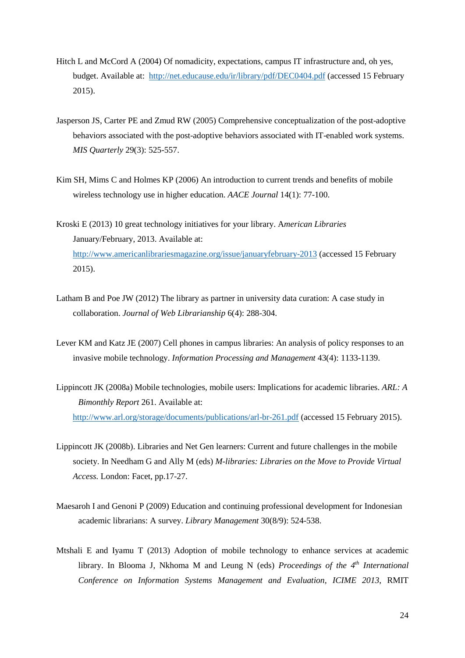- Hitch L and McCord A (2004) Of nomadicity, expectations, campus IT infrastructure and, oh yes, budget. Available at: <http://net.educause.edu/ir/library/pdf/DEC0404.pdf> (accessed 15 February 2015).
- Jasperson JS, Carter PE and Zmud RW (2005) Comprehensive conceptualization of the post-adoptive behaviors associated with the post-adoptive behaviors associated with IT-enabled work systems. *MIS Quarterly* 29(3): 525-557.
- Kim SH, Mims C and Holmes KP (2006) An introduction to current trends and benefits of mobile wireless technology use in higher education. *AACE Journal* 14(1): 77-100.
- Kroski E (2013) 10 great technology initiatives for your library. A*merican Libraries* January/February, 2013. Available at: <http://www.americanlibrariesmagazine.org/issue/januaryfebruary-2013> (accessed 15 February 2015).
- Latham B and Poe JW (2012) The library as partner in university data curation: A case study in collaboration. *Journal of Web Librarianship* 6(4): 288-304.
- Lever KM and Katz JE (2007) Cell phones in campus libraries: An analysis of policy responses to an invasive mobile technology. *Information Processing and Management* 43(4): 1133-1139.
- Lippincott JK (2008a) Mobile technologies, mobile users: Implications for academic libraries. *ARL: A Bimonthly Report* 261. Available at: <http://www.arl.org/storage/documents/publications/arl-br-261.pdf> (accessed 15 February 2015).
- Lippincott JK (2008b). Libraries and Net Gen learners: Current and future challenges in the mobile society. In Needham G and Ally M (eds) *M-libraries: Libraries on the Move to Provide Virtual Access.* London: Facet, pp.17-27.
- Maesaroh I and Genoni P (2009) Education and continuing professional development for Indonesian academic librarians: A survey. *Library Management* 30(8/9): 524-538.
- Mtshali E and Iyamu T (2013) Adoption of mobile technology to enhance services at academic library. In Blooma J, Nkhoma M and Leung N (eds) *Proceedings of the 4th International Conference on Information Systems Management and Evaluation, ICIME 2013*, RMIT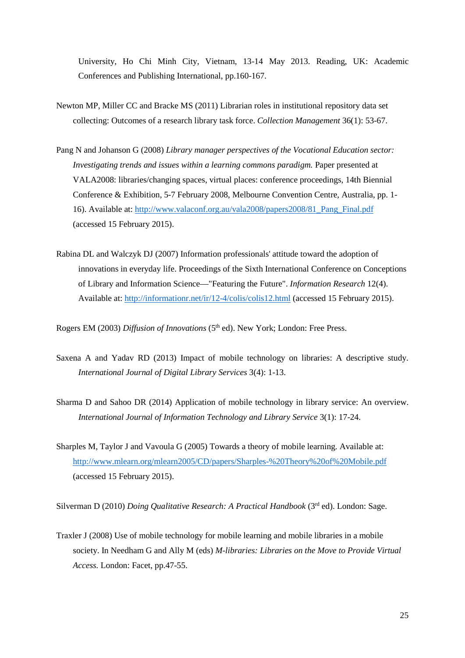University, Ho Chi Minh City, Vietnam, 13-14 May 2013. Reading, UK: Academic Conferences and Publishing International, pp.160-167.

- Newton MP, Miller CC and Bracke MS (2011) Librarian roles in institutional repository data set collecting: Outcomes of a research library task force. *Collection Management* 36(1): 53-67.
- Pang N and Johanson G (2008) *Library manager perspectives of the Vocational Education sector: Investigating trends and issues within a learning commons paradigm.* Paper presented at VALA2008: libraries/changing spaces, virtual places: conference proceedings, 14th Biennial Conference & Exhibition, 5-7 February 2008, Melbourne Convention Centre, Australia, pp. 1- 16). Available at: [http://www.valaconf.org.au/vala2008/papers2008/81\\_Pang\\_Final.pdf](http://www.valaconf.org.au/vala2008/papers2008/81_Pang_Final.pdf) (accessed 15 February 2015).
- Rabina DL and Walczyk DJ (2007) Information professionals' attitude toward the adoption of innovations in everyday life. Proceedings of the Sixth International Conference on Conceptions of Library and Information Science—"Featuring the Future". *Information Research* 12(4). Available at:<http://informationr.net/ir/12-4/colis/colis12.html> (accessed 15 February 2015).

Rogers EM (2003) *Diffusion of Innovations* (5<sup>th</sup> ed). New York; London: Free Press.

- Saxena A and Yadav RD (2013) Impact of mobile technology on libraries: A descriptive study. *International Journal of Digital Library Services* 3(4): 1-13.
- Sharma D and Sahoo DR (2014) Application of mobile technology in library service: An overview. *International Journal of Information Technology and Library Service* 3(1): 17-24.
- Sharples M, Taylor J and Vavoula G (2005) Towards a theory of mobile learning. Available at: <http://www.mlearn.org/mlearn2005/CD/papers/Sharples-%20Theory%20of%20Mobile.pdf> (accessed 15 February 2015).

Silverman D (2010) *Doing Qualitative Research: A Practical Handbook* (3rd ed). London: Sage.

Traxler J (2008) Use of mobile technology for mobile learning and mobile libraries in a mobile society. In Needham G and Ally M (eds) *M-libraries: Libraries on the Move to Provide Virtual Access.* London: Facet, pp.47-55.